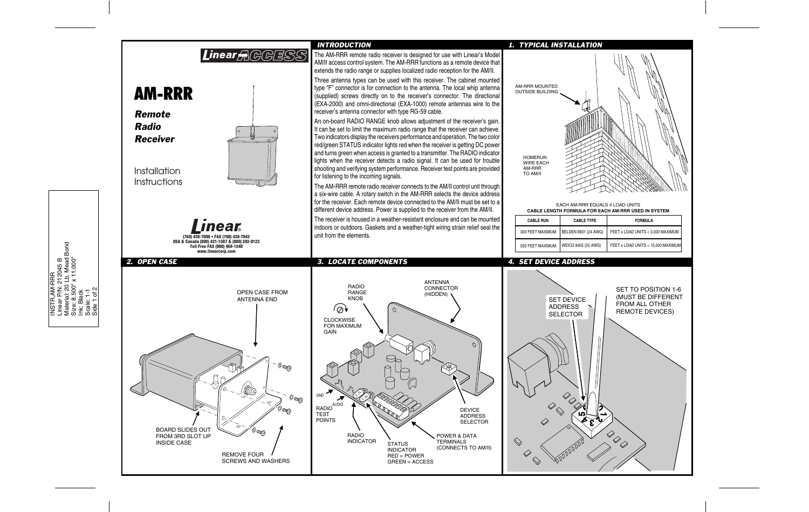